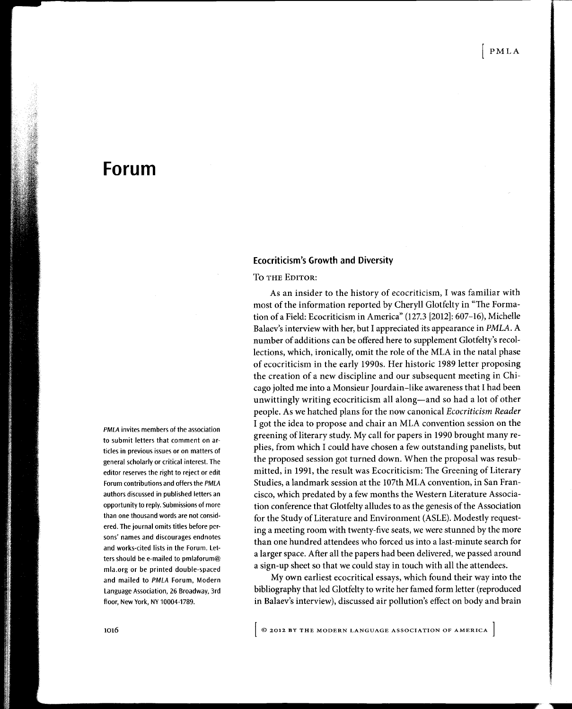# Forum

Ecocriticism's Growth and Diversity

To the Editor:

As an insider to the history of ecocriticism, I was familiar with most of the information reported by Cheryll Glotfelty in "The Formation of a Field: Ecocriticism in America" (127.3 [2012]: 607–16), Michelle Balaev's interview with her, but I appreciated its appearance in PMLA. A number of additions can be offered here to supplement Glotfelty's recollections, which, ironically, omit the role of the MLA in the natal phase of ecocriticism in the early 1990s. Her historic 1989 letter proposing the creation of a new discipline and our subsequent meeting in Chicago jolted me into a Monsieur |ourdain-like awareness that I had been unwittingly writing ecocriticism all along-and so had a lot of other people. As we hatched plans for the now canonical Ecocriticism Reader I got the idea to propose and chair an MLA convention session on the greening of literary study. My call for papers in 1990 brought many replies, from which I could have chosen a few outstanding panelists, but the proposed session got turned down. When the proposal was resubmitted, in 1991, the result was Ecocriticism: The Greening of Literary Studies, a landmark session at the 107th MLA convention, in San Francisco, which predated by a few months the Western Literature Association conference that Glotfelty alludes to as the genesis of the Association for the Study of Literature and Environment (ASLE). Modestly requesting a meeting room with twenty-five seats, we were stunned by the more than one hundred attendees who forced us into a last-minute search for a larger space. After all the papers had been delivered, we passed around a sign-up sheet so that we could stay in touch with all the attendees.

My own earliest ecocritical essays, which found their way into the bibliography that led Glotfelty to write her famed form letter (reproduced in Balaev's interview), discussed air pollution's effect on body and brain

PMLA invites members of the association to submit letters that comment on articles in previous issues or on matters of general scholarly or critical interest. The editor reserves the right to reject or edit Forum contributions and offers the PMLA authors discussed in published letters an opportunity to reply. Submissions of more than one thousand words are not considered. The journal omits titles before persons' names and discourages endnotes and works-cited lists in the Forum. Letters should be e-mailed to pmlaforum@ mla.org or be printed double-spaced and mailed to PMLA Forum, Modern Language Association, 26 Broadway, 3rd floor, New York, NY 10004-1789.

 $\left[$  © 2012 BY THE MODERN LANGUAGE ASSOCIATION OF AMERICA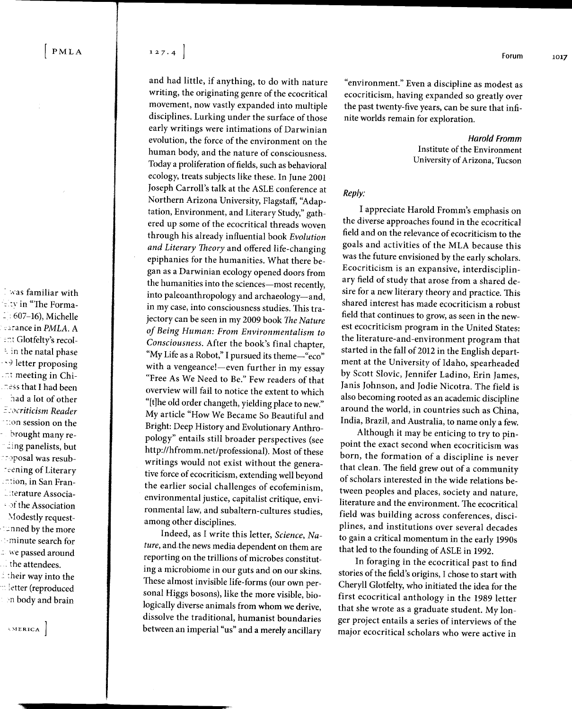**Foas familiar with** ..:r'in "The Forma-  $-$  : 607-16), Michelle ::ionc€ in PMLA. A .:t Glotfelty's recol- :. in the natal phase -59 letter proposing , .i meeting in Chi- . ness that I had been had a lot of other  $\exists$ : $\sigma$ criticism Reader ' .:on session on the ' brought many re ing panelists, but : rposal was resub reening of Literary ,.:ion, in San Fran- -.terature Associa-  $\cdot$  of the Association \lodestly request-  $\Box$ nned by the more . .-minute search for  $\Box$  we passed around . the attendees.  $\pm$  their way into the

letter (reproduced ,n body and brain

.]

 $\sim$  MERICA

 $[ PMLA \qquad \qquad 127.4 \]$ 

and had little, if anything, to do with nature writing, the originating genre of the ecocritical movement, now vastly expanded into multiple disciplines. Lurking under the surface of those early writings were intimations of Darwinian evolution, the force of the environment on the human body, and the nature of consciousness. Today a proliferation of fields, such as behavioral ecology, treats subjects like these. In June 2001 |oseph Carroll's talk at the ASLE conference at Northern Arizona University, Flagstaff, "Adaptation, Environment, and Literary Study," gathered up some of the ecocritical threads woven through his already influential book Evolution and Literary Theory and offered life-changing epiphanies for the humanities. What there began as a Darwinian ecology opened doors from the humanities into the sciences-most recently, into paleoanthropology and archaeology-and, in my case, into consciousness studies. This trajectory can be seen in my 2009 book The Nature of Being Human: From Environmentalism to Consciousness. After the book's final chapter, "My Life as a Robot," I pursued its theme-"eco" with a vengeance!- even further in my essay "Free As We Need to Be." Few readers of that overview will fail to notice the extent to which "[t]he old order changeth, yielding place to new." My article "How We Became So Beautiful and Bright: Deep History and Evolutionary Anthropology" entails still broader perspectives (see http://hfromm.net/professional). Most of these writings would not exist without the generative force of ecocriticism, extending well beyond the earlier social challenges of ecofeminism, environmental justice, capitalist critique, environmental law, and subaltern-cultures studies, among other disciplines.

Indeed, as I write this letter, Science, Nature, and the news media dependent on them are reporting on the trillions of microbes constitut\_ ing a microbiome in our guts and on our skins. These almost invisible life-forms (our own personal Higgs bosons), like the more visible, biologically diverse animals from whom we derive, dissolve the traditional, humanist boundaries between an imperial "us" and a merely ancillary

"environment." Even a discipline as modest as ecocriticism, having expanded so greatly over the past twenty-five years, can be sure that infinite worlds remain for exploration.

> Harold Fromm Institute of the Environment University of Arizona, Tucson

### Reply:

I appreciate Harold Fromm's emphasis on the diverse approaches found in the ecocritical field and on the relevance of ecocriticism to the goals and activities of the MLA because this was the future envisioned by the early scholars. Ecocriticism is an expansive, interdisciplinary field of study that arose from a shared desire for a new literary theory and practice. This shared interest has made ecocriticism a robust field that continues to grow, as seen in the newest ecocriticism program in the United States: the literature-and-environment program that started in the fall of 2012 in the English department at the University of Idaho, spearheaded by Scott Slovic, Jennifer Ladino, Erin James, Janis Johnson, and Jodie Nicotra. The field is also becoming rooted as an academic discipline around the world, in countries such as China, India, Brazil, and Australia, to name only a few.

Although it may be enticing to try to pinpoint the exact second when ecocriticism was born, the formation of a discipline is never that clean. The field grew out of a community of scholars interested in the wide relations between peoples and places, society and nature, literature and the environment. The ecocritical field was building across conferences, disciplines, and institutions over several decades to gain a critical momentum in the early 1990s that led to the founding of ASLE in 1992.

In foraging in the ecocritical past to find stories of the field's origins, I chose to start with Cheryll Glotfelty, who initiated the idea for the first ecocritical anthology in the l9g9 letter that she wrote as a graduate student. My longer project entails a series of interviews of the major ecocritical scholars who were active in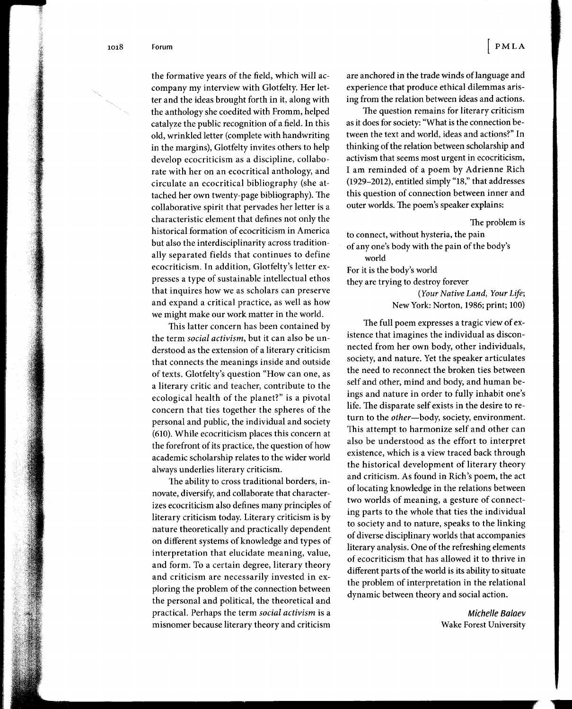the formative years of the field, which will accompany my interview with Glotfelty. Her letter and the ideas brought forth in it, along with the anthology she coedited with Fromm, helped catalyze the public recognition of a field. In this old, wrinkled letter (complete with handwriting in the margins), Glotfelty invites others to help develop ecocriticism as a discipline, collaborate with her on an ecocritical anthology, and circulate an ecocritical bibliography (she attached her own twenty-page bibliography). The collaborative spirit that pervades her letter is a characteristic element that defines not only the historical formation of ecocriticism in America but also the interdisciplinarity across traditionally separated fields that continues to define ecocriticism. In addition, Glotfelty's letter expresses a type of sustainable intellectual ethos that inquires how we as scholars can preserve and expand a critical practice, as well as how we might make our work matter in the world.

This latter concern has been contained by the term social activism, but it can also be understood as the extension of a literary criticism that connects the meanings inside and outside of texts. Glotfelty's question "How can one, as a literary critic and teacher, contribute to the ecological health of the planet?" is a pivotal concern that ties together the spheres of the personal and public, the individual and society (610). While ecocriticism places this concern at the forefront of its practice, the question of how academic scholarship relates to the wider world always underlies literary criticism.

The ability to cross traditional borders, innovate, diversify, and collaborate that characterizes ecocriticism also defines many principles of literary criticism today. Literary criticism is by nature theoretically and practically dependent on different systems of knowledge and types of interpretation that elucidate meaning, value, and form. To a certain degree, literary theory and criticism are necessarily invested in exploring the problem of the connection between the personal and political, the theoretical and practical. Perhaps the term social activism is a misnomer because literary theory and criticism

are anchored in the trade winds of language and experience that produce ethical dilemmas arising from the relation between ideas and actions.

The question remains for literary criticism as it does for society: "What is the connection between the text and world, ideas and actions?" In thinking of the relation between scholarship and activism that seems most urgent in ecocriticism, I am reminded of a poem by Adrienne Rich (1929-2012), entitled simply "18," that addresses this question of connection between inner and outer worlds. The poem's speaker explains:

The problem is

to connect, without hysteria, the pain of any one's body with the pain of the body's world For it is the body's world they are trying to destroy forever (Your Native Land, Your Life;

New York: Norton, 1986; print; 100)

The full poem expresses a tragic view of existence that imagines the individual as disconnected from her own body, other individuals, society, and nature. Yet the speaker articulates the need to reconnect the broken ties between self and other, mind and body, and human beings and nature in order to fully inhabit one's life. The disparate self exists in the desire to return to the other-body, society, environment. This attempt to harmonize self and other can also be understood as the effort to interpret existence, which is a view traced back through the historical development of literary theory and criticism. As found in Rich's poem, the act of locating knowledge in the relations between two worlds of meaning, a gesture of connecting parts to the whole that ties the individual to society and to nature, speaks to the linking of diverse disciplinary worlds that accompanies literary analysis. One of the refreshing elements of ecocriticism that has allowed it to thrive in different parts of the world is its ability to situate the problem of interpretation in the relational dynamic between theory and social action.

> Michelle Balaev Wake Forest University

> > I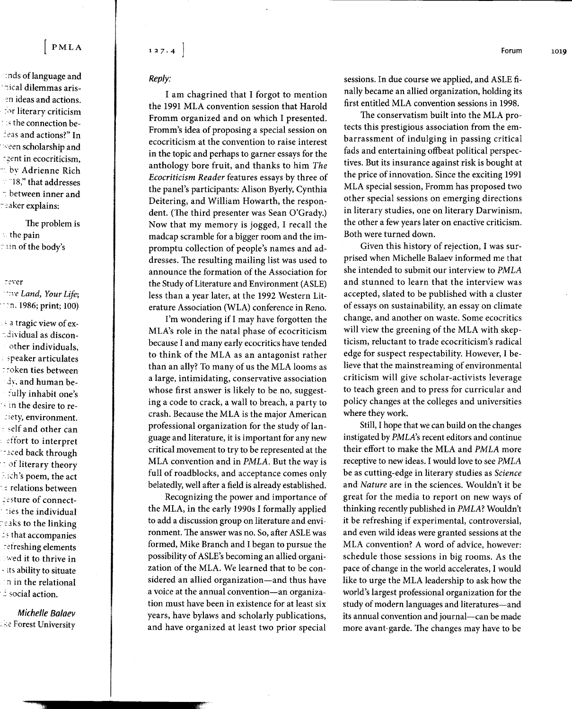## PMLA

nds of language and hical dilemmas arisen ideas and actions. for literary criticism the connection be-Leas and actions?" In  $\sim$ een scholarship and zent in ecocriticism,  $\scriptstyle\stackrel{\scriptstyle\sim}{\scriptstyle\sim}$  by Adrienne Rich  $\sim$  18," that addresses  $\therefore$  between inner and reaker explains:

The problem is athe pain **Tain of the body's** 

#### rever

we Land, Your Life; n. 1986; print; 100)

a tragic view of exadividual as disconother individuals. speaker articulates troken ties between dy, and human befully inhabit one's in the desire to reciety, environment. fielf and other can effort to interpret **Taced back through** tof literary theory  $\pm$ ich's poem, the act ः relations between resture of connectties the individual reaks to the linking  $\pm$ s that accompanies refreshing elements wed it to thrive in its ability to situate in in the relational  $\dot{z}$  social action.

Michelle Balaev se Forest University

## $127.4$

Reply:

I am chagrined that I forgot to mention the 1991 MLA convention session that Harold Fromm organized and on which I presented. Fromm's idea of proposing a special session on ecocriticism at the convention to raise interest in the topic and perhaps to garner essays for the anthology bore fruit, and thanks to him The Ecocriticism Reader features essays by three of the panel's participants: Alison Byerly, Cynthia Deitering, and William Howarth, the respondent. (The third presenter was Sean O'Grady.) Now that my memory is jogged, I recall the madcap scramble for a bigger room and the impromptu collection of people's names and addresses. The resulting mailing list was used to announce the formation of the Association for the Study of Literature and Environment (ASLE) less than a year later, at the 1992 Western Literature Association (WLA) conference in Reno.

I'm wondering if I may have forgotten the MLA's role in the natal phase of ecocriticism because I and many early ecocritics have tended to think of the MLA as an antagonist rather than an ally? To many of us the MLA looms as a large, intimidating, conservative association whose first answer is likely to be no, suggesting a code to crack, a wall to breach, a party to crash. Because the MLA is the major American professional organization for the study of language and literature, it is important for any new critical movement to try to be represented at the MLA convention and in PMLA. But the way is full of roadblocks, and acceptance comes only belatedly, well after a field is already established.

Recognizing the power and importance of the MLA, in the early 1990s I formally applied to add a discussion group on literature and environment. The answer was no. So, after ASLE was formed, Mike Branch and I began to pursue the possibility of ASLE's becoming an allied organization of the MLA. We learned that to be considered an allied organization—and thus have a voice at the annual convention—an organization must have been in existence for at least six years, have bylaws and scholarly publications, and have organized at least two prior special

1019

sessions. In due course we applied, and ASLE finally became an allied organization, holding its first entitled MLA convention sessions in 1998.

The conservatism built into the MLA protects this prestigious association from the embarrassment of indulging in passing critical fads and entertaining offbeat political perspectives. But its insurance against risk is bought at the price of innovation. Since the exciting 1991 MLA special session, Fromm has proposed two other special sessions on emerging directions in literary studies, one on literary Darwinism, the other a few years later on enactive criticism. Both were turned down.

Given this history of rejection, I was surprised when Michelle Balaev informed me that she intended to submit our interview to PMLA and stunned to learn that the interview was accepted, slated to be published with a cluster of essays on sustainability, an essay on climate change, and another on waste. Some ecocritics will view the greening of the MLA with skepticism, reluctant to trade ecocriticism's radical edge for suspect respectability. However, I believe that the mainstreaming of environmental criticism will give scholar-activists leverage to teach green and to press for curricular and policy changes at the colleges and universities where they work.

Still, I hope that we can build on the changes instigated by *PMLA*'s recent editors and continue their effort to make the MLA and PMLA more receptive to new ideas. I would love to see PMLA be as cutting-edge in literary studies as Science and Nature are in the sciences. Wouldn't it be great for the media to report on new ways of thinking recently published in PMLA? Wouldn't it be refreshing if experimental, controversial, and even wild ideas were granted sessions at the MLA convention? A word of advice, however: schedule those sessions in big rooms. As the pace of change in the world accelerates, I would like to urge the MLA leadership to ask how the world's largest professional organization for the study of modern languages and literatures-and its annual convention and journal-can be made more avant-garde. The changes may have to be